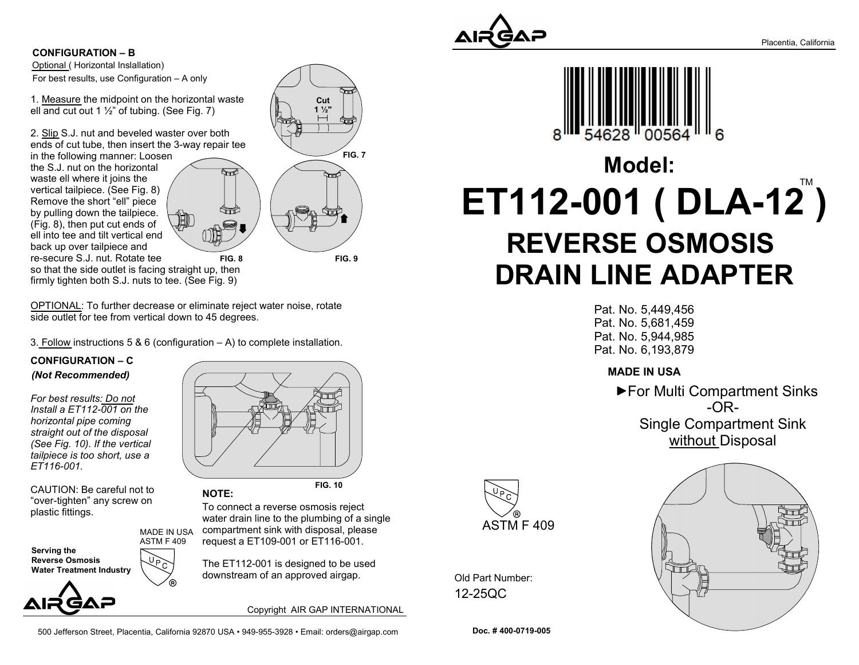

Optional ( Horizontal Inslallation) CONFIGURATION – B For best results, use Configuration – A only

1. Measure the midpoint on the horizontal waste ell and cut out 1  $\frac{1}{2}$ " of tubing. (See Fig. 7)

2. Slip S.J. nut and beveled waster over both ends of cut tube, then insert the 3-way repair tee

in the following manner: Loosen the S.J. nut on the horizontal waste ell where it joins the vertical tailpiece. (See Fig. 8) Remove the short "ell" piece by pulling down the tailpiece. (Fig. 8), then put cut ends of ell into tee and tilt vertical end back up over tailpiece and re-secure S.J. nut. Rotate tee



so that the side outlet is facing straight up, then firmly tighten both S.J. nuts to tee. (See Fig. 9)

OPTIONAL: To further decrease or eliminate reject water noise, rotate side outlet for tee from vertical down to 45 degrees.

3. Follow instructions 5 & 6 (configuration  $- A$ ) to complete installation.

ASTM F 409

#### CONFIGURATION – C (Not Recommended)

For best results: Do not Install a ET112-001 on the horizontal pipe coming straight out of the disposal (See Fig. 10). If the vertical tailpiece is too short, use a ET116-001.

CAUTION: Be careful not to "over-tighten" any screw on

Serving the Reverse Osmosis Water Treatment Industry



FIG. 10

plastic fittings.<br>
To connect a reverse osmosis reject<br>
To connect a reverse osmosis reject water drain line to the plumbing of a single compartment sink with disposal, please request a ET109-001 or ET116-001. MADE IN USA

> The ET112-001 is designed to be used downstream of an approved airgap.

> > Copyright AIR GAP INTERNATIONAL

500 Jefferson Street, Placentia, California 92870 USA • 949-955-3928 • Email: orders@airgap.com

NOTE:

REVERSE OSMOSIS

 $ET112-001$  (  $DLA-12$  )

Model:

628

DRAIN LINE ADAPTER

Pat. No. 5,449,456 Pat. No. 5,681,459 Pat. No. 5,944,985 Pat. No. 6,193,879

Old Part Number: 12-25QC





Doc. # 400-0719-005

ASTM F 409